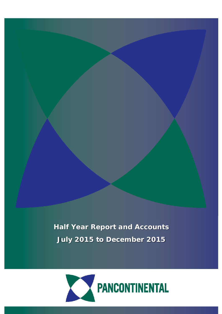**Half Year Report and Accounts July 2015 to December 2015**

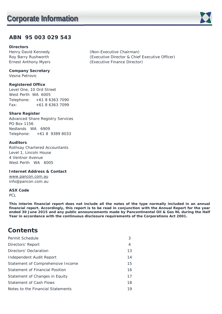# **ABN 95 003 029 543**

# **Directors**

**Company Secretary** 

Vesna Petrovic

# **Registered Office**

Level One, 10 Ord Street West Perth WA 6005 Telephone: +61 8 6363 7090 Fax: +61 8 6363 7099

# **Share Register**

Advanced Share Registry Services PO Box 1156 Nedlands WA 6909 Telephone: +61 8 9389 8033

# **Auditors**

Rothsay Chartered Accountants Level 1, Lincoln House 4 Ventnor Avenue West Perth WA 6005

# **Internet Address & Contact**

www.pancon.com.au info@pancon.com.au

# **ASX Code**

PCL

**This interim financial report does not include all the notes of the type normally included in an annual financial report. Accordingly, this report is to be read in conjunction with the Annual Report for the year ended 30 June 2015 and any public announcements made by Pancontinental Oil & Gas NL during the Half Year in accordance with the continuous disclosure requirements of the Corporations Act 2001.** 

# **Contents**

| Permit Schedule                   | 3  |
|-----------------------------------|----|
| Directors' Report                 | 4  |
| Directors' Declaration            | 13 |
| Independent Audit Report          | 14 |
| Statement of Comprehensive Income | 15 |
| Statement of Financial Position   | 16 |
| Statement of Changes in Equity    | 17 |
| Statement of Cash Flows           | 18 |
| Notes to the Financial Statements | 19 |

Henry David Kennedy (Non-Executive Chairman) Roy Barry Rushworth (Executive Director & Chief Executive Officer) Ernest Anthony Myers (Executive Finance Director)

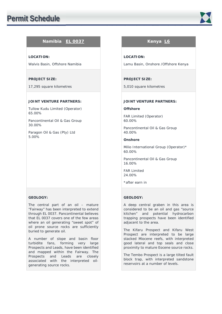

# **Namibia EL 0037 Kenya L6**

# **LOCATION:**

Walvis Basin, Offshore Namibia

# **PROJECT SIZE:**

17,295 square kilometres

# **JOINT VENTURE PARTNERS:**

Tullow Kudu Limited (Operator) 65.00%

Pancontinental Oil & Gas Group 30.00%

Paragon Oil & Gas (Pty) Ltd 5.00%

# **GEOLOGY:**

The central part of an oil – mature "Fairway" has been interpreted to extend through EL 0037. Pancontinental believes that EL 0037 covers one of the few areas where an oil generating "sweet spot" of oil prone source rocks are sufficiently buried to generate oil.

A number of slope and basin floor turbidite fans, forming very large Prospects and Leads, have been identified and mapped within the Fairway. The Prospects and Leads are closely associated with the interpreted oilgenerating source rocks.

# **LOCATION:**

Lamu Basin, Onshore /Offshore Kenya

# **PROJECT SIZE:**

5,010 square kilometres

# **JOINT VENTURE PARTNERS:**

### **Offshore**

FAR Limited (Operator) 60.00%

Pancontinental Oil & Gas Group 40.00%

# **Onshore**

Milio International Group (Operator)\* 60.00%

Pancontinental Oil & Gas Group 16.00%

FAR Limited 24.00%

\*after earn in

# **GEOLOGY:**

A deep central graben in this area is considered to be an oil and gas "source kitchen" and potential hydrocarbon trapping prospects have been identified adjacent to the area.

The Kifaru Prospect and Kifaru West Prospect are interpreted to be large stacked Miocene reefs, with interpreted good lateral and top seals and close proximity to mature Eocene source rocks.

The Tembo Prospect is a large tilted fault block trap, with interpreted sandstone reservoirs at a number of levels.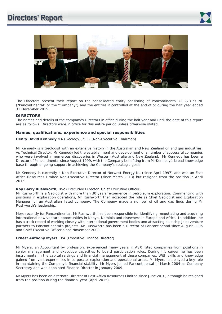# **Directors' Report**





The Directors present their report on the consolidated entity consisting of Pancontinental Oil & Gas NL ("Pancontinental" or the "Company") and the entities it controlled at the end of or during the half year ended 31 December 2015.

**DIRECTORS**<br>The names and details of the company's Directors in office during the half year and until the date of this report are as follows. Directors were in office for this entire period unless otherwise stated.

# **Names, qualifications, experience and special responsibilities**

**Henry David Kennedy** MA (Geology), SEG (Non-Executive Chairman)

Mr Kennedy is a Geologist with an extensive history in the Australian and New Zealand oil and gas industries. As Technical Director, Mr Kennedy led the establishment and development of a number of successful companies who were involved in numerous discoveries in Western Australia and New Zealand. Mr Kennedy has been a Director of Pancontinental since August 1999, with the Company benefiting from Mr Kennedy's broad knowledge base through ongoing support in achieving the Company's strategic goals.

Mr Kennedy is currently a Non-Executive Director of Norwest Energy NL (since April 1997) and was an East Africa Resources Limited Non-Executive Director (since March 2013) but resigned from the position in April 2015.

#### **Roy Barry Rushworth**, BSc (Executive Director, Chief Executive Officer)

Mr Rushworth is a Geologist with more than 30 years' experience in petroleum exploration. Commencing with positions in exploration operations, Mr Rushworth then accepted the role as Chief Geologist and Exploration Manager for an Australian listed company. The Company made a number of oil and gas finds during Mr Rushworth's leadership.

More recently for Pancontinental, Mr Rushworth has been responsible for identifying, negotiating and acquiring international new venture opportunities in Kenya, Namibia and elsewhere in Europe and Africa. In addition, he has a track record of working closely with international government bodies and attracting blue chip joint venture partners to Pancontinental's projects. Mr Rushworth has been a Director of Pancontinental since August 2005 and Chief Executive Officer since November 2008.

### **Ernest Anthony Myers** CPA (Executive Finance Director)

Mr Myers, an Accountant by profession, experienced many years in ASX listed companies from positions in senior management and executive capacities to board participation roles. During his career he has been instrumental in the capital raisings and financial management of these companies. With skills and knowledge gained from vast experiences in corporate, exploration and operational areas, Mr Myers has played a key role in maintaining the Company's financial stability. Mr Myers joined Pancontinental in March 2004 as Company Secretary and was appointed Finance Director in January 2009.

Mr Myers has been an alternate Director of East Africa Resources Limited since June 2010, although he resigned from the position during the financial year (April 2015).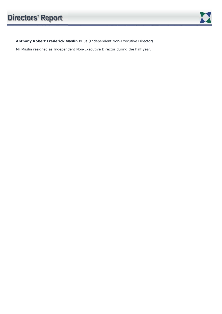**Anthony Robert Frederick Maslin** BBus (Independent Non-Executive Director)

Mr Maslin resigned as Independent Non-Executive Director during the half year.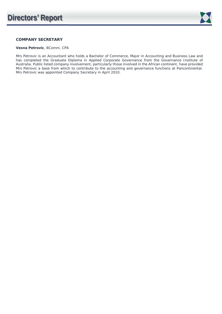

# **COMPANY SECRETARY**

# **Vesna Petrovic**, BComm, CPA

Mrs Petrovic is an Accountant who holds a Bachelor of Commerce, Major in Accounting and Business Law and has completed the Graduate Diploma in Applied Corporate Governance from the Governance Institute of Australia. Public listed company involvement, particularly those involved in the African continent, have provided Mrs Petrovic a base from which to contribute to the accounting and governance functions at Pancontinental. Mrs Petrovic was appointed Company Secretary in April 2010.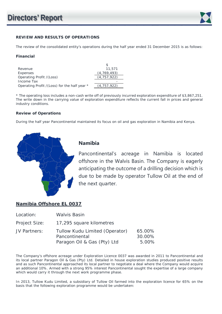

# **REVIEW AND RESULTS OF OPERATIONS**

The review of the consolidated entity's operations during the half year ended 31 December 2015 is as follows:

# **Financial**

| Revenue                                      | 11,571        |
|----------------------------------------------|---------------|
| Expenses                                     | (4, 769, 493) |
| Operating Profit / (Loss)                    | (4, 757, 922) |
| Income Tax                                   |               |
| Operating Profit /(Loss) for the half year * | (4.757.922)   |

| Revenue                                      | 11,571        |
|----------------------------------------------|---------------|
| Expenses                                     | (4, 769, 493) |
| Operating Profit /(Loss)                     | (4, 757, 922) |
| Income Tax                                   |               |
| Operating Profit /(Loss) for the half year * | (4, 757, 922) |
|                                              |               |

\* The operating loss includes a non-cash write off of previously incurred exploration expenditure of \$3,867,251. The write down in the carrying value of exploration expenditure reflects the current fall in prices and general industry conditions.

# **Review of Operations**

During the half year Pancontinental maintained its focus on oil and gas exploration in Namibia and Kenya.



# **Namibia**

Pancontinental's acreage in Namibia is located offshore in the Walvis Basin. The Company is eagerly anticipating the outcome of a drilling decision which is due to be made by operator Tullow Oil at the end of the next quarter.

# **Namibia Offshore EL 0037**

| Location:     | <b>Walvis Basin</b>                                                             |                           |
|---------------|---------------------------------------------------------------------------------|---------------------------|
| Project Size: | 17,295 square kilometres                                                        |                           |
| JV Partners:  | Tullow Kudu Limited (Operator)<br>Pancontinental<br>Paragon Oil & Gas (Pty) Ltd | 65.00%<br>30.00%<br>5.00% |

The Company's offshore acreage under Exploration Licence 0037 was awarded in 2011 to Pancontinental and its local partner Paragon Oil & Gas (Pty) Ltd. Detailed in house exploration studies produced positive results and as such Pancontinental approached its local partner to negotiate a deal where the Company would acquire an additional 10%. Armed with a strong 95% interest Pancontinental sought the expertise of a large company which would carry it through the next work programme phase.

In 2013, Tullow Kudu Limited, a subsidiary of Tullow Oil farmed into the exploration licence for 65% on the basis that the following exploration programme would be undertaken: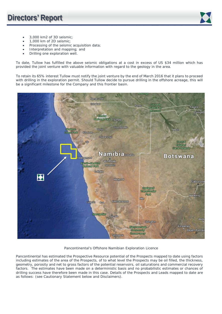

- 3,000 km2 of 3D seismic:
- 1,000 km of 2D seismic;
- Processing of the seismic acquisition data;
- Interpretation and mapping; and
- Drilling one exploration well.

To date, Tullow has fulfilled the above seismic obligations at a cost in excess of US \$34 million which has provided the joint venture with valuable information with regard to the geology in the area.

To retain its 65% interest Tullow must notify the joint venture by the end of March 2016 that it plans to proceed with drilling in the exploration permit. Should Tullow decide to pursue drilling in the offshore acreage, this will be a significant milestone for the Company and this frontier basin.



# Pancontinental's Offshore Namibian Exploration Licence

Pancontinental has estimated the Prospective Resource potential of the Prospects mapped to date using factors including estimates of the area of the Prospects, of to what level the Prospects may be oil filled, the thickness, geometry, porosity and net to gross factors of the potential reservoirs, oil saturations and commercial recovery factors. The estimates have been made on a deterministic basis and no probabilistic estimates or chances of drilling success have therefore been made in this case. Details of the Prospects and Leads mapped to date are as follows: (see Cautionary Statement below and Disclaimers).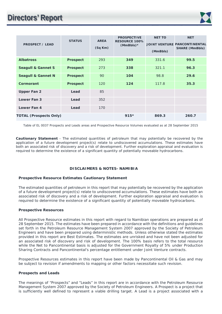

| <b>PROSPECT / LEAD</b>        | <b>STATUS</b>   | <b>AREA</b><br>(Sq Km) | <b>PROSPECTIVE</b><br><b>RESOURCE 100%</b><br>$(MmBbls)*$ | <b>NET TO</b><br>(MmBbls) | <b>NET</b><br><b>JOINT VENTURE PANCONTINENTAL</b><br><b>SHARE (MmBbls)</b> |
|-------------------------------|-----------------|------------------------|-----------------------------------------------------------|---------------------------|----------------------------------------------------------------------------|
| <b>Albatross</b>              | <b>Prospect</b> | 293                    | 349                                                       | 331.6                     | 99.5                                                                       |
| <b>Seagull &amp; Gannet S</b> | <b>Prospect</b> | 273                    | 338                                                       | 321.1                     | 96.3                                                                       |
| <b>Seagull &amp; Gannet N</b> | <b>Prospect</b> | 90                     | 104                                                       | 98.8                      | 29.6                                                                       |
| Cormorant                     | <b>Prospect</b> | 120                    | 124                                                       | 117.8                     | 35.3                                                                       |
| <b>Upper Fan 2</b>            | Lead            | 85                     |                                                           |                           |                                                                            |
| Lower Fan 3                   | Lead            | 352                    |                                                           |                           |                                                                            |
| Lower Fan 4                   | Lead            | 170                    |                                                           |                           |                                                                            |
| <b>TOTAL (Prospects Only)</b> |                 |                        | $915*$                                                    | 869.3                     | 260.7                                                                      |

Table of EL 0037 Prospects and Leads areas and Prospective Resource Volumes evaluated as at 28 September 2015

**Cautionary Statement** - The estimated quantities of petroleum that may potentially be recovered by the application of a future development project(s) relate to undiscovered accumulations. These estimates have both an associated risk of discovery and a risk of development. Further exploration appraisal and evaluation is required to determine the existence of a significant quantity of potentially moveable hydrocarbons.

# **DISCLAIMERS & NOTES- NAMIBIA**

# **Prospective Resource Estimates Cautionary Statement**

The estimated quantities of petroleum in this report that may potentially be recovered by the application of a future development project(s) relate to undiscovered accumulations. These estimates have both an associated risk of discovery and a risk of development. Further exploration appraisal and evaluation is required to determine the existence of a significant quantity of potentially moveable hydrocarbons.

# **Prospective Resources**

All Prospective Resource estimates in this report with regard to Namibian operations are prepared as of 28 September 2015. The estimates have been prepared in accordance with the definitions and guidelines set forth in the Petroleum Resource Management System 2007 approved by the Society of Petroleum Engineers and have been prepared using deterministic methods. Unless otherwise stated the estimates provided in this report are Best Estimates. The estimates are unrisked and have not been adjusted for an associated risk of discovery and risk of development. The 100% basis refers to the total resource while the Net to Pancontinental basis is adjusted for the Government Royalty of 5% under Production Sharing Contracts and Pancontinental's percentage entitlement under Joint Venture contracts.

Prospective Resources estimates in this report have been made by Pancontinental Oil & Gas and may be subject to revision if amendments to mapping or other factors necessitate such revision.

#### **Prospects and Leads**

The meanings of "Prospects" and "Leads" in this report are in accordance with the Petroleum Resource Management System 2007 approved by the Society of Petroleum Engineers. A Prospect is a project that is sufficiently well defined to represent a viable drilling target. A Lead is a project associated with a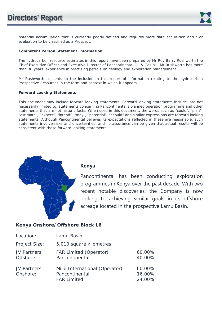

potential accumulation that is currently poorly defined and requires more data acquisition and / or evaluation to be classified as a Prospect.

# **Competent Person Statement Information**

The hydrocarbon resource estimates in this report have been prepared by Mr Roy Barry Rushworth the Chief Executive Officer and Executive Director of Pancontinental Oil & Gas NL. Mr Rushworth has more than 30 years' experience in practising petroleum geology and exploration management.

Mr Rushworth consents to the inclusion in this report of information relating to the hydrocarbon Prospective Resources in the form and context in which it appears.

# **Forward Looking Statements**

This document may include forward looking statements. Forward looking statements include, are not necessarily limited to, statements concerning Pancontinental's planned operation programme and other statements that are not historic facts. When used in this document, the words such as "could", "plan", "estimate", "expect", "intend", "may", "potential", "should" and similar expressions are forward looking statements. Although Pancontinental believes its expectations reflected in these are reasonable, such statements involve risks and uncertainties, and no assurance can be given that actual results will be consistent with these forward looking statements.



# **Kenya**

Pancontinental has been conducting exploration programmes in Kenya over the past decade. With two recent notable discoveries, the Company is now looking to achieving similar goals in its offshore acreage located in the prospective Lamu Basin.

# **Kenya Onshore/Offshore Block L6**

| Location:                      | Lamu Basin                                                             |                            |
|--------------------------------|------------------------------------------------------------------------|----------------------------|
| Project Size:                  | 5,010 square kilometres                                                |                            |
| JV Partners<br>Offshore:       | <b>FAR Limited (Operator)</b><br>Pancontinental                        | 60.00%<br>40.00%           |
| <b>JV Partners</b><br>Onshore: | Milio International (Operator)<br>Pancontinental<br><b>FAR Limited</b> | 60.00%<br>16.00%<br>24.00% |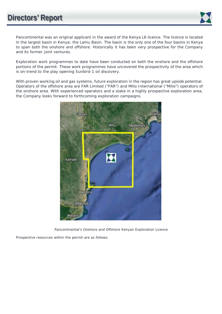

Pancontinental was an original applicant in the award of the Kenya L6 licence. The licence is located in the largest basin in Kenya; the Lamu Basin. The basin is the only one of the four basins in Kenya to span both the onshore and offshore. Historically it has been very prospective for the Company and its former joint ventures.

Exploration work programmes to date have been conducted on both the onshore and the offshore portions of the permit. These work programmes have uncovered the prospectivity of the area which is on-trend to the play opening Sunbird-1 oil discovery.

With proven working oil and gas systems, future exploration in the region has great upside potential. Operators of the offshore area are FAR Limited ("FAR") and Milio International ("Milio") operators of the onshore area. With experienced operators and a stake in a highly prospective exploration area, the Company looks forward to forthcoming exploration campaigns.



Pancontinental's Onshore and Offshore Kenyan Exploration Licence

Prospective resources within the permit are as follows: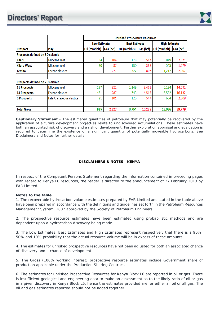

|                                 |                          | <b>Unrisked Prospective Resources</b> |                                             |              |                      |              |           |
|---------------------------------|--------------------------|---------------------------------------|---------------------------------------------|--------------|----------------------|--------------|-----------|
|                                 |                          |                                       | <b>Low Estimate</b><br><b>Best Estimate</b> |              | <b>High Estimate</b> |              |           |
| Prospect                        | Play                     | Oil (mmbbls)                          | Gas (bcf)                                   | Oil (mmbbls) | Gas (bcf)            | Oil (mmbbls) | Gas (bcf) |
| Prospects defined on 3D seismic |                          |                                       |                                             |              |                      |              |           |
| <b>Kifaru</b>                   | Miocene reef             | 34                                    | 104                                         | 178          | 517                  | 849          | 2,321     |
| <b>Kifaru West</b>              | Miocene reef             | 30                                    | 87                                          | 130          | 388                  | 545          | 1,579     |
| <b>Tembo</b>                    | Eocene clastics          | 91                                    | 227                                         | 327          | 807                  | 1,212        | 2,907     |
| Prospects defined on 2D seismic |                          |                                       |                                             |              |                      |              |           |
| 11 Prospects                    | Miocene reef             | 297                                   | 821                                         | 1,249        | 3,461                | 5,194        | 14,032    |
| <b>13 Prospects</b>             | Eocene clastics          | 451                                   | 1,287                                       | 1,743        | 4,515                | 6,582        | 16,132    |
| <b>6 Prospects</b>              | Late Cretaceous clastics | 21                                    | 101                                         | 126          | 547                  | 684          | 2,808     |
| <b>Total Gross</b>              |                          | 925                                   | 2,627                                       | 3,754        | 10,235               | 15,066       | 39,779    |

**Cautionary Statement** - The estimated quantities of petroleum that may potentially be recovered by the application of a future development project(s) relate to undiscovered accumulations. These estimates have both an associated risk of discovery and a risk of development. Further exploration appraisal and evaluation is required to determine the existence of a significant quantity of potentially moveable hydrocarbons. See Disclaimers and Notes for further details.

# **DISCLAIMERS & NOTES - KENYA**

In respect of the Competent Persons Statement regarding the information contained in preceding pages with regard to Kenya L6 resources, the reader is directed to the announcement of 27 February 2013 by FAR Limited.

# **Notes to the table**

1. The recoverable hydrocarbon volume estimates prepared by FAR Limited and stated in the table above have been prepared in accordance with the definitions and guidelines set forth in the Petroleum Resources Management System, 2007 approved by the Society of Petroleum Engineers.

2. The prospective resource estimates have been estimated using probabilistic methods and are dependent upon a hydrocarbon discovery being made.

3. The Low Estimates, Best Estimates and High Estimates represent respectively that there is a 90%, 50% and 10% probability that the actual resource volume will be in excess of these amounts.

4. The estimates for unrisked prospective resources have not been adjusted for both an associated chance of discovery and a chance of development.

5. The Gross (100% working interest) prospective resource estimates include Government share of production applicable under the Production Sharing Contract.

6. The estimates for unrisked Prospective Resources for Kenya Block L6 are reported in oil or gas. There is insufficient geological and engineering data to make an assessment as to the likely ratio of oil or gas in a given discovery in Kenya Block L6, hence the estimates provided are for either all oil or all gas. The oil and gas estimates reported should not be added together.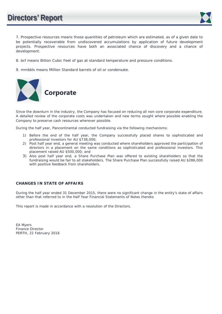

7. Prospective resources means those quantities of petroleum which are estimated, as of a given date to be potentially recoverable from undiscovered accumulations by application of future development projects. Prospective resources have both an associated chance of discovery and a chance of development.

- 8. bcf means Billion Cubic Feet of gas at standard temperature and pressure conditions.
- 9. mmbbls means Million Standard barrels of oil or condensate.



Since the downturn in the industry, the Company has focused on reducing all non-core corporate expenditure. A detailed review of the corporate costs was undertaken and new terms sought where possible enabling the Company to preserve cash resources wherever possible.

During the half year, Pancontinental conducted fundraising via the following mechanisms:

- 1) Before the end of the half year, the Company successfully placed shares to sophisticated and professional investors for AU \$738,000;
- 2) Post half year end, a general meeting was conducted where shareholders approved the participation of directors in a placement on the same conditions as sophisticated and professional investors. This placement raised AU \$500,000; and
- 3) Also post half year end, a Share Purchase Plan was offered to existing shareholders so that the fundraising would be fair to all stakeholders. The Share Purchase Plan successfully raised AU \$286,000 with positive feedback from shareholders.

# **CHANGES IN STATE OF AFFAIRS**

During the half year ended 31 December 2015, there were no significant change in the entity's state of affairs other than that referred to in the Half Year Financial Statements of Notes thereto.

This report is made in accordance with a resolution of the Directors.

EA Myers Finance Director PERTH, 22 February 2016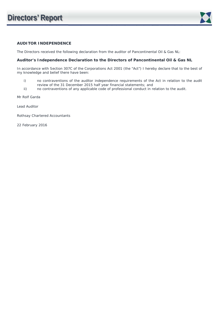

# **AUDITOR INDEPENDENCE**

The Directors received the following declaration from the auditor of Pancontinental Oil & Gas NL:

# **Auditor's Independence Declaration to the Directors of Pancontinental Oil & Gas NL**

In accordance with Section 307C of the Corporations Act 2001 (the "Act") I hereby declare that to the best of my knowledge and belief there have been:

- i) no contraventions of the auditor independence requirements of the Act in relation to the audit review of the 31 December 2015 half year financial statements; and
- ii) no contraventions of any applicable code of professional conduct in relation to the audit.

Mr Rolf Garda

Lead Auditor

Rothsay Chartered Accountants

22 February 2016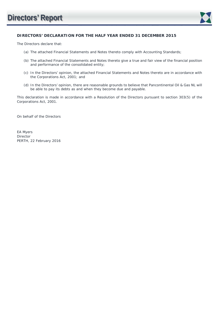

# **DIRECTORS' DECLARATION FOR THE HALF YEAR ENDED 31 DECEMBER 2015**

The Directors declare that:

- (a) The attached Financial Statements and Notes thereto comply with Accounting Standards;
- (b) The attached Financial Statements and Notes thereto give a true and fair view of the financial position and performance of the consolidated entity;
- (c) In the Directors' opinion, the attached Financial Statements and Notes thereto are in accordance with the Corporations Act, 2001; and
- (d) In the Directors' opinion, there are reasonable grounds to believe that Pancontinental Oil & Gas NL will be able to pay its debts as and when they become due and payable.

This declaration is made in accordance with a Resolution of the Directors pursuant to section 303(5) of the Corporations Act, 2001.

On behalf of the Directors

EA Myers Director PERTH, 22 February 2016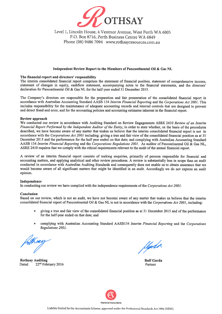

Level 1, Lincoln House, 4 Ventnor Avenue, West Perth WA 6005 P.O. Box 8716, Perth Business Centre WA 6849 Phone (08) 9486 7094 www.rothsayresources.com.au

#### Independent Review Report to the Members of Pancontinental Oil & Gas NL

#### The financial report and directors' responsibility

The interim consolidated financial report comprises the statement of financial position, statement of comprehensive income. statement of changes in equity, cashflow statement, accompanying notes to the financial statements, and the directors' declaration for Pancontinental Oil & Gas NL for the half-year ended 31 December 2015.

The Company's directors are responsible for the preparation and fair presentation of the consolidated financial report in accordance with Australian Accounting Standard AASB 134 Interim Financial Reporting and the Corporations Act 2001. This includes responsibility for the maintenance of adequate accounting records and internal controls that are designed to prevent and detect fraud and error, and for the accounting policies and accounting estimates inherent in the financial report.

#### **Review approach**

We conducted our review in accordance with Auditing Standard on Review Engagements ASRE 2410 Review of an Interim Financial Report Performed by the Independent Auditor of the Entity, in order to state whether, on the basis of the procedures described, we have become aware of any matter that makes us believe that the interim consolidated financial report is not in accordance with the Corporations Act 2001 including: giving a true and fair view of the consolidated financial position as at 31 December 2015 and the performance for the half year ended on that date; and complying with Australian Accounting Standard AASB 134 Interim Financial Reporting and the Corporations Regulations 2001. As auditor of Pancontinental Oil & Gas NL. ASRE 2410 requires that we comply with the ethical requirements relevant to the audit of the annual financial report.

A review of an interim financial report consists of making enquiries, primarily of persons responsible for financial and accounting matters, and applying analytical and other review procedures. A review is substantially less in scope than an audit conducted in accordance with Australian Auditing Standards and consequently does not enable us to obtain assurance that we would become aware of all significant matters that might be identified in an audit. Accordingly we do not express an audit opinion.

#### Independence

In conducting our review we have complied with the independence requirements of the Corporations Act 2001.

#### Conclusion

Based on our review, which is not an audit, we have not become aware of any matter that makes us believe that the interim consolidated financial report of Pancontinental Oil & Gas NL is not in accordance with the Corporations Act 2001, including:

- giving a true and fair view of the consolidated financial position as at 31 December 2015 and of the performance  $\bullet$ for the half-year ended on that date; and
- complying with Australian Accounting Standard AASB134 Interim Financial Reporting and the Corporations Regulations 2001.

**Rothsay Auditing** 22<sup>nd</sup> February 2016 Dated

Userdo

**Rolf Garda** Partner

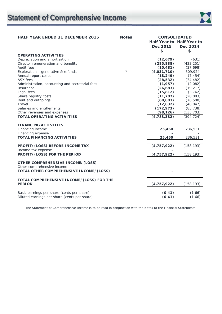

| <b>HALF YEAR ENDED 31 DECEMBER 2015</b>                         | <b>Notes</b>   | <b>CONSOLIDATED</b>     |                           |
|-----------------------------------------------------------------|----------------|-------------------------|---------------------------|
|                                                                 |                |                         | Half Year to Half Year to |
|                                                                 |                | Dec 2015                | Dec 2014                  |
|                                                                 |                | \$                      | \$                        |
| <b>OPERATING ACTIVITIES</b>                                     |                |                         |                           |
| Depreciation and amortisation                                   |                | (12, 679)               | (631)                     |
| Director remuneration and benefits<br>Audit fees                |                | (285, 838)<br>(10, 481) | (433, 251)<br>(37,698)    |
| Exploration - generative & refunds                              | $\overline{7}$ | (4,031,710)             | 509,924                   |
| Annual report costs                                             |                | (13, 249)               | (7, 454)                  |
| <b>ASX</b> fees                                                 |                | (28, 532)               | (34, 482)                 |
| Administration, accounting and secretarial fees                 |                | (1, 957)                | (2,082)                   |
| Insurance                                                       |                | (26, 683)               | (19, 217)                 |
| Legal fees                                                      |                | (15, 812)               | (3, 762)                  |
| Share registry costs                                            |                | (11, 707)               | (20, 083)                 |
| Rent and outgoings                                              |                | (60, 803)               | (76, 500)                 |
| Travel                                                          |                | (12, 832)               | (48, 047)                 |
| Salaries and entitlements                                       |                | (172, 973)              | (85, 738)                 |
| Other revenues and expenses                                     |                | (98, 126)               | (135, 703)                |
| <b>TOTAL OPERATING ACTIVITIES</b>                               |                | (4, 783, 382)           | (394, 724)                |
|                                                                 |                |                         |                           |
| <b>FINANCING ACTIVITIES</b>                                     |                |                         |                           |
| Financing income                                                |                | 25,460                  | 236,531                   |
| Financing expense                                               |                |                         |                           |
| <b>TOTAL FINANCING ACTIVITIES</b>                               |                | 25,460                  | 236,531                   |
|                                                                 |                |                         |                           |
| PROFIT/(LOSS) BEFORE INCOME TAX                                 |                | (4, 757, 922)           | (158, 193)                |
| Income tax expense                                              |                |                         |                           |
| PROFIT/(LOSS) FOR THE PERIOD                                    |                | (4, 757, 922)           | (158, 193)                |
|                                                                 |                |                         |                           |
| OTHER COMPREHENSIVE INCOME/(LOSS)<br>Other comprehensive income |                |                         |                           |
| TOTAL OTHER COMPREHENSIVE INCOME/(LOSS)                         |                |                         |                           |
|                                                                 |                |                         |                           |
| TOTAL COMPREHENSIVE INCOME/(LOSS) FOR THE                       |                |                         |                           |
| <b>PERIOD</b>                                                   |                | (4, 757, 922)           | (158, 193)                |
| Basic earnings per share (cents per share)                      |                | (0.41)                  | (1.66)                    |
| Diluted earnings per share (cents per share)                    |                | (0.41)                  | (1.66)                    |
|                                                                 |                |                         |                           |

The Statement of Comprehensive Income is to be read in conjunction with the Notes to the Financial Statements.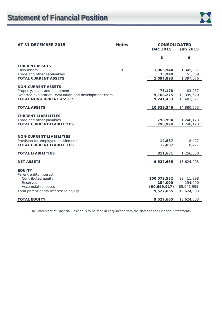

# **AT 31 DECEMBER 2015 Notes CONSOLIDATED Dec 2015 Jun 2015 \$ \$ CURRENT ASSETS**  Cash assets 3 **1,063,944** 1,345,837 Trade and other receivables **33,949** 51,839 **TOTAL CURRENT ASSETS 1,097,893** 1,397,676 **NON-CURRENT ASSETS**  Property, plant and equipment **73,178** 83,257 Deferred exploration, evaluation and development costs **9,168,275** 13,399,620 **TOTAL NON-CURRENT ASSETS 9,241,453** 13,482,877 **TOTAL ASSETS 10,339,346** 14,880,553 **CURRENT LIABILITIES**  Trade and other payables **798,994** 1,248,123 **TOTAL CURRENT LIABILITIES 798,994** 1,248,123 **NON-CURRENT LIABILITIES**  Provision for employee entitlements **12,687** 8,427 **TOTAL CURRENT LIABILITIES** 12,687 8,427 **TOTAL LIABILITIES** 811,681 **1,256,550 NET ASSETS 9,527,665** 13,624,003 **EQUITY**  Parent entity interest Contributed equity **100,073,582** 99,411,998 Reserves **154,000** 154,000 Accumulated losses **(90,699,917)** (85,941,995) Total parent entity interest in equity **9,527,665** 13,624,003 **TOTAL EQUITY 9,527,665** 13,624,003

The Statement of Financial Position is to be read in conjunction with the Notes to the Financial Statements.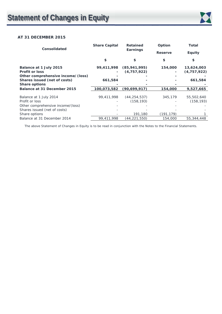

# **AT 31 DECEMBER 2015**

| <b>Consolidated</b>               | <b>Share Capital</b> | <b>Retained</b> | Option         | Total         |
|-----------------------------------|----------------------|-----------------|----------------|---------------|
|                                   |                      | Earnings        | <b>Reserve</b> | <b>Equity</b> |
|                                   | \$                   | \$              | \$             | \$            |
| Balance at 1 July 2015            | 99,411,998           | (85, 941, 995)  | 154,000        | 13,624,003    |
| <b>Profit or loss</b>             |                      | (4,757,922)     |                | (4, 757, 922) |
| Other comprehensive income/(loss) |                      |                 |                |               |
| Shares issued (net of costs)      | 661,584              |                 |                | 661,584       |
| <b>Share options</b>              |                      |                 |                |               |
| Balance at 31 December 2015       | 100,073,582          | (90, 699, 917)  | 154,000        | 9,527,665     |
|                                   |                      |                 |                |               |
| Balance at 1 July 2014            | 99,411,998           | (44, 254, 537)  | 345,179        | 55,502,640    |
| Profit or loss                    |                      | (158, 193)      |                | (158, 193)    |
| Other comprehensive income/(loss) |                      |                 |                |               |
| Shares issued (net of costs)      |                      |                 |                |               |
| Share options                     |                      | 191,180         | (191, 179)     |               |
| Balance at 31 December 2014       | 99,411,998           | (44,221,550)    | 154,000        | 55,344,448    |

The above Statement of Changes in Equity is to be read in conjunction with the Notes to the Financial Statements.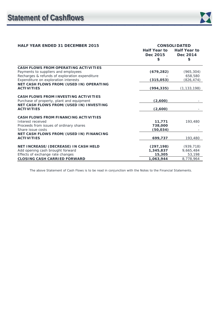| <b>HALF YEAR ENDED 31 DECEMBER 2015</b>                      |                     | <b>CONSOLIDATED</b> |
|--------------------------------------------------------------|---------------------|---------------------|
|                                                              | <b>Half Year to</b> | <b>Half Year to</b> |
|                                                              | Dec 2015            | Dec 2014            |
|                                                              | \$                  | \$                  |
| CASH FLOWS FROM OPERATING ACTIVITIES                         |                     |                     |
| Payments to suppliers and employees                          | (679, 282)          | (965, 304)          |
| Recharges & refunds of exploration expenditure               |                     | 658,580             |
| Expenditure on exploration interests                         | (315,053)           | (826, 474)          |
| NET CASH FLOWS FROM/(USED IN) OPERATING                      |                     |                     |
| <b>ACTIVITIES</b>                                            | (994, 335)          | (1, 133, 198)       |
| <b>CASH FLOWS FROM INVESTING ACTIVITIES</b>                  |                     |                     |
| Purchase of property, plant and equipment                    | (2,600)             |                     |
| NET CASH FLOWS FROM/(USED IN) INVESTING                      |                     |                     |
| <b>ACTIVITIES</b>                                            | (2,600)             |                     |
|                                                              |                     |                     |
| <b>CASH FLOWS FROM FINANCING ACTIVITIES</b>                  |                     |                     |
| Interest received                                            | 11,771              | 193,480             |
| Proceeds from issues of ordinary shares                      | 738,000             |                     |
| Share issue costs                                            | (50, 034)           |                     |
| NET CASH FLOWS FROM/(USED IN) FINANCING<br><b>ACTIVITIES</b> |                     |                     |
|                                                              | 699,737             | 193,480             |
| NET INCREASE/(DECREASE) IN CASH HELD                         | (297, 198)          | (939, 718)          |
| Add opening cash brought forward                             | 1,345,837           | 9,665,484           |
| Effects of exchange rate changes                             | 15,305              | 53,198              |
| <b>CLOSING CASH CARRIED FORWARD</b>                          | 1,063,944           | 8,778,964           |

The above Statement of Cash Flows is to be read in conjunction with the Notes to the Financial Statements.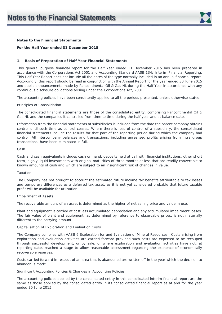

# **For the Half Year ended 31 December 2015**

### **1. Basis of Preparation of Half Year Financial Statements**

This general purpose financial report for the Half Year ended 31 December 2015 has been prepared in accordance with the Corporations Act 2001 and Accounting Standard AASB 134: Interim Financial Reporting. This Half Year Report does not include all the notes of the type normally included in an annual financial report. Accordingly, this report should be read in conjunction with the Annual Report for the year ended 30 June 2015 and public announcements made by Pancontinental Oil & Gas NL during the Half Year in accordance with any continuous disclosure obligations arising under the Corporations Act, 2001.

The accounting policies have been consistently applied to all the periods presented, unless otherwise stated.

#### *Principles of Consolidation*

The consolidated financial statements are those of the consolidated entity, comprising Pancontinental Oil & Gas NL and the companies it controlled from time to time during the half year and at balance date.

Information from the financial statements of subsidiaries is included from the date the parent company obtains control until such time as control ceases. Where there is loss of control of a subsidiary, the consolidated financial statements include the results for that part of the reporting period during which the company had control. All intercompany balances and transactions, including unrealised profits arising from intra group transactions, have been eliminated in full.

#### *Cash*

Cash and cash equivalents includes cash on hand, deposits held at call with financial institutions, other short term, highly liquid investments with original maturities of three months or less that are readily convertible to known amounts of cash and which are subject to an insignificant risk of changes in value.

#### *Taxation*

The Company has not brought to account the estimated future income tax benefits attributable to tax losses and temporary differences as a deferred tax asset, as it is not yet considered probable that future taxable profit will be available for utilisation.

#### *Impairment of Assets*

The recoverable amount of an asset is determined as the higher of net selling price and value in use.

Plant and equipment is carried at cost less accumulated depreciation and any accumulated impairment losses. The fair value of plant and equipment, as determined by reference to observable prices, is not materially different to the carrying amount.

# *Capitalisation of Exploration and Evaluation Costs*

The Company complies with AASB 6 *Exploration for and Evaluation of Mineral Resources*. Costs arising from exploration and evaluation activities are carried forward provided such costs are expected to be recouped through successful development, or by sale, or where exploration and evaluation activities have not, at reporting date, reached a stage to allow reasonable assessment regarding the existence of economically recoverable reserves.

Costs carried forward in respect of an area that is abandoned are written off in the year which the decision to abandon is made.

#### *Significant Accounting Policies & Changes in Accounting Policies*

The accounting policies applied by the consolidated entity in this consolidated interim financial report are the same as those applied by the consolidated entity in its consolidated financial report as at and for the year ended 30 June 2015.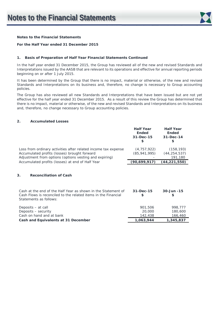

# **For the Half Year ended 31 December 2015**

# **1. Basis of Preparation of Half Year Financial Statements Continued**

In the half year ended 31 December 2015, the Group has reviewed all of the new and revised Standards and Interpretations issued by the AASB that are relevant to its operations and effective for annual reporting periods beginning on or after 1 July 2015.

It has been determined by the Group that there is no impact, material or otherwise, of the new and revised Standards and Interpretations on its business and, therefore, no change is necessary to Group accounting policies.

The Group has also reviewed all new Standards and Interpretations that have been issued but are not yet effective for the half year ended 31 December 2015. As a result of this review the Group has determined that there is no impact, material or otherwise, of the new and revised Standards and Interpretations on its business and, therefore, no change necessary to Group accounting policies.

# **2. Accumulated Losses**

|                                                                                                                | <b>Half Year</b><br><b>Ended</b><br>31-Dec-15<br>\$. | <b>Half Year</b><br><b>Ended</b><br>31-Dec-14<br>\$ |
|----------------------------------------------------------------------------------------------------------------|------------------------------------------------------|-----------------------------------------------------|
| Loss from ordinary activities after related income tax expense<br>Accumulated profits (losses) brought forward | (4, 757, 922)<br>(85, 941, 995)                      | (158, 193)<br>(44, 254, 537)                        |
| Adjustment from options (options vesting and expiring)<br>Accumulated profits (losses) at end of Half Year     | (90, 699, 917)                                       | 191,180<br>(44,221,550)                             |
|                                                                                                                |                                                      |                                                     |

# **3. Reconciliation of Cash**

| Cash at the end of the Half Year as shown in the Statement of<br>Cash Flows is reconciled to the related items in the Financial<br>Statements as follows: | $31 - Dec - 15$ | $30 - Jun - 15$ |
|-----------------------------------------------------------------------------------------------------------------------------------------------------------|-----------------|-----------------|
| Deposits – at call                                                                                                                                        | 901,506         | 998.777         |
| Deposits – security                                                                                                                                       | 20,000          | 180,600         |
| Cash on hand and at bank                                                                                                                                  | 142,438         | 166,460         |
| Cash and Equivalents at 31 December                                                                                                                       | 1,063,944       | 1,345,837       |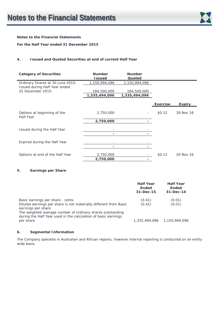

# **For the Half Year ended 31 December 2015**

# **4. Issued and Quoted Securities at end of current Half Year**

| <b>Category of Securities</b>                      | <b>Number</b><br><b>Issued</b> | <b>Number</b><br>Quoted      |                 |               |
|----------------------------------------------------|--------------------------------|------------------------------|-----------------|---------------|
| Ordinary Shares at 30 June 2015:                   | 1,150,994,096                  | 1,150,994,096                |                 |               |
| Issued during Half Year ended<br>31 December 2015: | 184,500,000<br>1,335,494,096   | 184,500,000<br>1,335,494,096 |                 |               |
|                                                    |                                |                              | <b>Exercise</b> | <b>Expiry</b> |
| Options at beginning of the<br>Half Year           | 2,750,000                      | $\overline{\phantom{a}}$     | \$0.12          | 29 Nov 16     |
|                                                    | 2,750,000                      |                              |                 |               |
| Issued during the Half Year                        |                                |                              |                 |               |
|                                                    | ٠                              | ٠                            |                 |               |
| Expired during the Half Year                       |                                |                              |                 |               |
|                                                    |                                |                              |                 |               |
| Options at end of the Half Year                    | 2,750,000                      |                              | \$0.12          | 29 Nov 16     |
|                                                    | 2,750,000                      | ٠                            |                 |               |

# **5. Earnings per Share**

|                                                                                                                                                                                                                                                             | <b>Half Year</b><br><b>Ended</b><br>31-Dec-15 | <b>Half Year</b><br><b>Ended</b><br>$31 - Dec-14$ |
|-------------------------------------------------------------------------------------------------------------------------------------------------------------------------------------------------------------------------------------------------------------|-----------------------------------------------|---------------------------------------------------|
| Basic earnings per share - cents<br>Diluted earnings per share is not materially different from Basic<br>earnings per share<br>The weighted average number of ordinary shares outstanding<br>during the Half Year used in the calculation of basic earnings | (0.41)<br>(0.41)                              | (0.01)<br>(0.01)                                  |
| per share                                                                                                                                                                                                                                                   |                                               | 1.335.494.096 1.150.994.096                       |

# **6. Segmental Information**

The Company operates in Australian and African regions, however internal reporting is conducted on an entity wide basis.